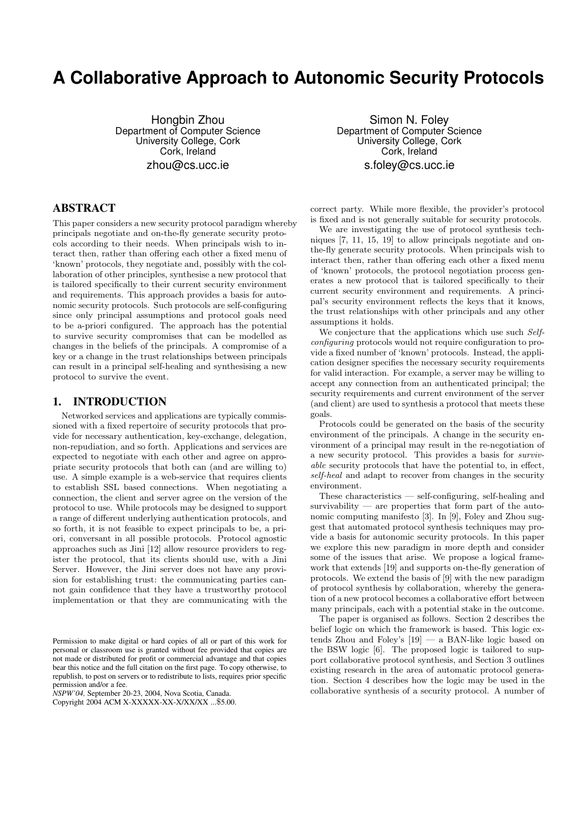# **A Collaborative Approach to Autonomic Security Protocols**

Hongbin Zhou Department of Computer Science University College, Cork Cork, Ireland zhou@cs.ucc.ie

Simon N. Foley Department of Computer Science University College, Cork Cork, Ireland s.foley@cs.ucc.ie

# **ABSTRACT**

This paper considers a new security protocol paradigm whereby principals negotiate and on-the-fly generate security protocols according to their needs. When principals wish to interact then, rather than offering each other a fixed menu of 'known' protocols, they negotiate and, possibly with the collaboration of other principles, synthesise a new protocol that is tailored specifically to their current security environment and requirements. This approach provides a basis for autonomic security protocols. Such protocols are self-configuring since only principal assumptions and protocol goals need to be a-priori configured. The approach has the potential to survive security compromises that can be modelled as changes in the beliefs of the principals. A compromise of a key or a change in the trust relationships between principals can result in a principal self-healing and synthesising a new protocol to survive the event.

# **1. INTRODUCTION**

Networked services and applications are typically commissioned with a fixed repertoire of security protocols that provide for necessary authentication, key-exchange, delegation, non-repudiation, and so forth. Applications and services are expected to negotiate with each other and agree on appropriate security protocols that both can (and are willing to) use. A simple example is a web-service that requires clients to establish SSL based connections. When negotiating a connection, the client and server agree on the version of the protocol to use. While protocols may be designed to support a range of different underlying authentication protocols, and so forth, it is not feasible to expect principals to be, a priori, conversant in all possible protocols. Protocol agnostic approaches such as Jini [12] allow resource providers to register the protocol, that its clients should use, with a Jini Server. However, the Jini server does not have any provision for establishing trust: the communicating parties cannot gain confidence that they have a trustworthy protocol implementation or that they are communicating with the

*NSPW'04,* September 20-23, 2004, Nova Scotia, Canada.

Copyright 2004 ACM X-XXXXX-XX-X/XX/XX ...\$5.00.

correct party. While more flexible, the provider's protocol is fixed and is not generally suitable for security protocols.

We are investigating the use of protocol synthesis techniques [7, 11, 15, 19] to allow principals negotiate and onthe-fly generate security protocols. When principals wish to interact then, rather than offering each other a fixed menu of 'known' protocols, the protocol negotiation process generates a new protocol that is tailored specifically to their current security environment and requirements. A principal's security environment reflects the keys that it knows, the trust relationships with other principals and any other assumptions it holds.

We conjecture that the applications which use such Selfconfiguring protocols would not require configuration to provide a fixed number of 'known' protocols. Instead, the application designer specifies the necessary security requirements for valid interaction. For example, a server may be willing to accept any connection from an authenticated principal; the security requirements and current environment of the server (and client) are used to synthesis a protocol that meets these goals.

Protocols could be generated on the basis of the security environment of the principals. A change in the security environment of a principal may result in the re-negotiation of a new security protocol. This provides a basis for survivable security protocols that have the potential to, in effect, self-heal and adapt to recover from changes in the security environment.

These characteristics — self-configuring, self-healing and survivability — are properties that form part of the autonomic computing manifesto [3]. In [9], Foley and Zhou suggest that automated protocol synthesis techniques may provide a basis for autonomic security protocols. In this paper we explore this new paradigm in more depth and consider some of the issues that arise. We propose a logical framework that extends [19] and supports on-the-fly generation of protocols. We extend the basis of [9] with the new paradigm of protocol synthesis by collaboration, whereby the generation of a new protocol becomes a collaborative effort between many principals, each with a potential stake in the outcome.

The paper is organised as follows. Section 2 describes the belief logic on which the framework is based. This logic extends Zhou and Foley's  $[19]$  — a BAN-like logic based on the BSW logic [6]. The proposed logic is tailored to support collaborative protocol synthesis, and Section 3 outlines existing research in the area of automatic protocol generation. Section 4 describes how the logic may be used in the collaborative synthesis of a security protocol. A number of

Permission to make digital or hard copies of all or part of this work for personal or classroom use is granted without fee provided that copies are not made or distributed for profit or commercial advantage and that copies bear this notice and the full citation on the first page. To copy otherwise, to republish, to post on servers or to redistribute to lists, requires prior specific permission and/or a fee.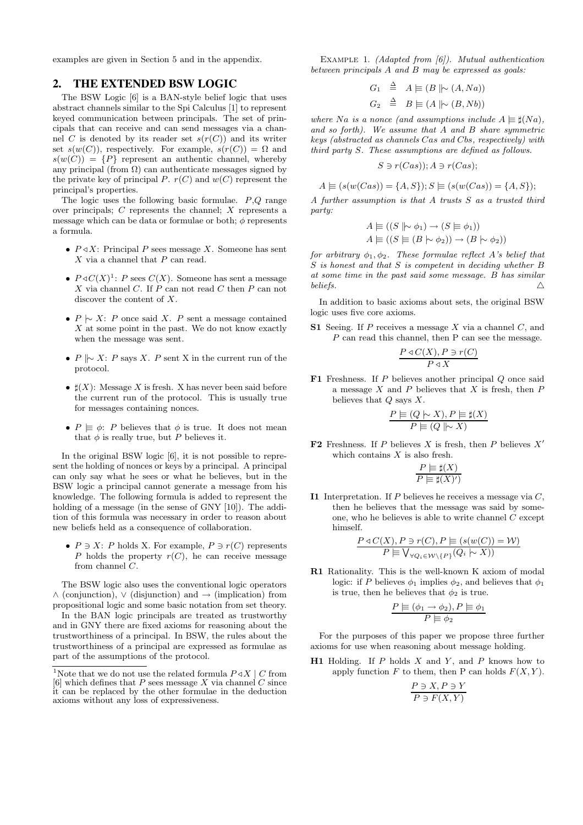examples are given in Section 5 and in the appendix.

#### **2. THE EXTENDED BSW LOGIC**

The BSW Logic [6] is a BAN-style belief logic that uses abstract channels similar to the Spi Calculus [1] to represent keyed communication between principals. The set of principals that can receive and can send messages via a channel C is denoted by its reader set  $s(r(C))$  and its writer set  $s(w(C))$ , respectively. For example,  $s(r(C)) = \Omega$  and  $s(w(C)) = {P}$  represent an authentic channel, whereby any principal (from  $\Omega$ ) can authenticate messages signed by the private key of principal P.  $r(C)$  and  $w(C)$  represent the principal's properties.

The logic uses the following basic formulae.  $P,Q$  range over principals; C represents the channel; X represents a message which can be data or formulae or both;  $\phi$  represents a formula.

- $P \triangleleft X$ : Principal P sees message X. Someone has sent  $X$  via a channel that  $P$  can read.
- $P \triangleleft C(X)^{1}$ : P sees  $C(X)$ . Someone has sent a message X via channel  $C$ . If  $P$  can not read  $C$  then  $P$  can not discover the content of X.
- $P \sim X$ : P once said X. P sent a message contained  $X$  at some point in the past. We do not know exactly when the message was sent.
- P  $\sim$  X: P says X. P sent X in the current run of the protocol.
- $\sharp(X)$ : Message X is fresh. X has never been said before the current run of the protocol. This is usually true for messages containing nonces.
- $P \vDash \phi$ : P believes that  $\phi$  is true. It does not mean that  $\phi$  is really true, but  $P$  believes it.

In the original BSW logic [6], it is not possible to represent the holding of nonces or keys by a principal. A principal can only say what he sees or what he believes, but in the BSW logic a principal cannot generate a message from his knowledge. The following formula is added to represent the holding of a message (in the sense of GNY [10]). The addition of this formula was necessary in order to reason about new beliefs held as a consequence of collaboration.

•  $P \ni X: P$  holds X. For example,  $P \ni r(C)$  represents P holds the property  $r(C)$ , he can receive message from channel C.

The BSW logic also uses the conventional logic operators  $\wedge$  (conjunction),  $\vee$  (disjunction) and  $\rightarrow$  (implication) from propositional logic and some basic notation from set theory.

In the BAN logic principals are treated as trustworthy and in GNY there are fixed axioms for reasoning about the trustworthiness of a principal. In BSW, the rules about the trustworthiness of a principal are expressed as formulae as part of the assumptions of the protocol.

EXAMPLE 1. (Adapted from  $(6)$ ). Mutual authentication between principals A and B may be expressed as goals:

$$
G_1 \triangleq A \models (B \parallel \sim (A, Na))
$$
  

$$
G_2 \triangleq B \models (A \parallel \sim (B, Nb))
$$

where Na is a nonce (and assumptions include  $A \equiv \sharp(Na)$ , and so forth). We assume that A and B share symmetric keys (abstracted as channels Cas and Cbs, respectively) with third party S. These assumptions are defined as follows.

$$
S \ni r(Cas)); A \ni r(Cas);
$$

$$
A \equiv (s(w(Cas)) = \{A, S\}); S \equiv (s(w(Cas)) = \{A, S\});
$$

A further assumption is that A trusts S as a trusted third party:

$$
A \models ((S \mid \sim \phi_1) \rightarrow (S \models \phi_1))
$$
  

$$
A \models ((S \models (B \mid \sim \phi_2)) \rightarrow (B \mid \sim \phi_2))
$$

for arbitrary  $\phi_1, \phi_2$ . These formulae reflect A's belief that S is honest and that S is competent in deciding whether B at some time in the past said some message. B has similar beliefs.  $\triangle$ 

In addition to basic axioms about sets, the original BSW logic uses five core axioms.

S1 Seeing. If  $P$  receives a message  $X$  via a channel  $C$ , and P can read this channel, then P can see the message.

$$
\frac{P \triangleleft C(X), P \ni r(C)}{P \triangleleft X}
$$

**F1** Freshness. If  $P$  believes another principal  $Q$  once said a message  $X$  and  $P$  believes that  $X$  is fresh, then  $P$ believes that  $Q$  says  $X$ .

$$
\frac{P \vDash (Q \mid \sim X), P \vDash \sharp(X)}{P \vDash (Q \mid \sim X)}
$$

**F2** Freshness. If P believes X is fresh, then P believes  $X'$ which contains  $X$  is also fresh.

$$
\frac{P \models \sharp(X)}{P \models \sharp(X)')}
$$

I1 Interpretation. If  $P$  believes he receives a message via  $C$ , then he believes that the message was said by someone, who he believes is able to write channel C except himself.

$$
\frac{P \triangleleft C(X), P \ni r(C), P \models (s(w(C)) = W)}{P \models \bigvee_{\forall Q_i \in W \setminus \{P\}} (Q_i \models X))}
$$

R1 Rationality. This is the well-known K axiom of modal logic: if P believes  $\phi_1$  implies  $\phi_2$ , and believes that  $\phi_1$ is true, then he believes that  $\phi_2$  is true.

$$
\frac{P \vDash (\phi_1 \to \phi_2), P \vDash \phi_1}{P \vDash \phi_2}
$$

For the purposes of this paper we propose three further axioms for use when reasoning about message holding.

**H1** Holding. If  $P$  holds  $X$  and  $Y$ , and  $P$  knows how to apply function F to them, then P can holds  $F(X, Y)$ .

$$
\frac{P \ni X, P \ni Y}{P \ni F(X, Y)}
$$

<sup>&</sup>lt;sup>1</sup>Note that we do not use the related formula  $P \triangleleft X \mid C$  from [6] which defines that  $P$  sees message  $X$  via channel  $C$  since it can be replaced by the other formulae in the deduction axioms without any loss of expressiveness.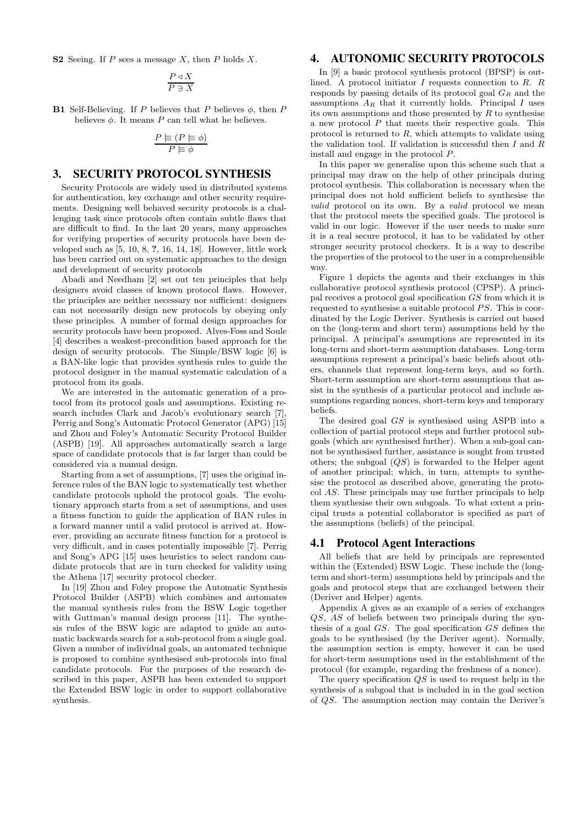S2 Seeing. If  $P$  sees a message  $X$ , then  $P$  holds  $X$ .

$$
\frac{P \triangleleft X}{P \ni X}
$$

**B1** Self-Believing. If P believes that P believes  $\phi$ , then P believes  $\phi$ . It means P can tell what he believes.

$$
\frac{P \models (P \models \phi)}{P \models \phi}
$$

#### **3. SECURITY PROTOCOL SYNTHESIS**

Security Protocols are widely used in distributed systems for authentication, key exchange and other security requirements. Designing well behaved security protocols is a challenging task since protocols often contain subtle flaws that are difficult to find. In the last 20 years, many approaches for verifying properties of security protocols have been developed such as  $[5, 10, 8, 7, 16, 14, 18]$ . However, little work has been carried out on systematic approaches to the design and development of security protocols

Abadi and Needham [2] set out ten principles that help designers avoid classes of known protocol flaws. However, the principles are neither necessary nor sufficient: designers can not necessarily design new protocols by obeying only these principles. A number of formal design approaches for security protocols have been proposed. Alves-Foss and Soule [4] describes a weakest-precondition based approach for the design of security protocols. The Simple/BSW logic [6] is a BAN-like logic that provides synthesis rules to guide the protocol designer in the manual systematic calculation of a protocol from its goals.

We are interested in the automatic generation of a protocol from its protocol goals and assumptions. Existing research includes Clark and Jacob's evolutionary search [7], Perrig and Song's Automatic Protocol Generator (APG) [15] and Zhou and Foley's Automatic Security Protocol Builder (ASPB) [19]. All approaches automatically search a large space of candidate protocols that is far larger than could be considered via a manual design.

Starting from a set of assumptions, [7] uses the original inference rules of the BAN logic to systematically test whether candidate protocols uphold the protocol goals. The evolutionary approach starts from a set of assumptions, and uses a fitness function to guide the application of BAN rules in a forward manner until a valid protocol is arrived at. However, providing an accurate fitness function for a protocol is very difficult, and in cases potentially impossible [7]. Perrig and Song's APG [15] uses heuristics to select random candidate protocols that are in turn checked for validity using the Athena [17] security protocol checker.

In [19] Zhou and Foley propose the Automatic Synthesis Protocol Builder (ASPB) which combines and automates the manual synthesis rules from the BSW Logic together with Guttman's manual design process [11]. The synthesis rules of the BSW logic are adapted to guide an automatic backwards search for a sub-protocol from a single goal. Given a number of individual goals, an automated technique is proposed to combine synthesised sub-protocols into final candidate protocols. For the purposes of the research described in this paper, ASPB has been extended to support the Extended BSW logic in order to support collaborative synthesis.

## **4. AUTONOMIC SECURITY PROTOCOLS**

In [9] a basic protocol synthesis protocol (BPSP) is outlined. A protocol initiator  $I$  requests connection to  $R$ .  $R$ responds by passing details of its protocol goal  $G_R$  and the assumptions  $A_R$  that it currently holds. Principal I uses its own assumptions and those presented by  $R$  to synthesise a new protocol  $P$  that meets their respective goals. This protocol is returned to  $R$ , which attempts to validate using the validation tool. If validation is successful then  $I$  and  $R$ install and engage in the protocol P.

In this paper we generalise upon this scheme such that a principal may draw on the help of other principals during protocol synthesis. This collaboration is necessary when the principal does not hold sufficient beliefs to synthesise the valid protocol on its own. By a valid protocol we mean that the protocol meets the specified goals. The protocol is valid in our logic. However if the user needs to make sure it is a real secure protocol, it has to be validated by other stronger security protocol checkers. It is a way to describe the properties of the protocol to the user in a comprehensible way.

Figure 1 depicts the agents and their exchanges in this collaborative protocol synthesis protocol (CPSP). A principal receives a protocol goal specification GS from which it is requested to synthesise a suitable protocol PS. This is coordinated by the Logic Deriver. Synthesis is carried out based on the (long-term and short term) assumptions held by the principal. A principal's assumptions are represented in its long-term and short-term assumption databases. Long-term assumptions represent a principal's basic beliefs about others, channels that represent long-term keys, and so forth. Short-term assumption are short-term assumptions that assist in the synthesis of a particular protocol and include assumptions regarding nonces, short-term keys and temporary beliefs.

The desired goal GS is synthesised using ASPB into a collection of partial protocol steps and further protocol subgoals (which are synthesised further). When a sub-goal cannot be synthesised further, assistance is sought from trusted others; the subgoal  $(QS)$  is forwarded to the Helper agent of another principal; which, in turn, attempts to synthesise the protocol as described above, generating the protocol AS. These principals may use further principals to help them synthesise their own subgoals. To what extent a principal trusts a potential collaborator is specified as part of the assumptions (beliefs) of the principal.

#### **4.1 Protocol Agent Interactions**

All beliefs that are held by principals are represented within the (Extended) BSW Logic. These include the (longterm and short-term) assumptions held by principals and the goals and protocol steps that are exchanged between their (Deriver and Helper) agents.

Appendix A gives as an example of a series of exchanges QS, AS of beliefs between two principals during the synthesis of a goal  $GS$ . The goal specification  $GS$  defines the goals to be synthesised (by the Deriver agent). Normally, the assumption section is empty, however it can be used for short-term assumptions used in the establishment of the protocol (for example, regarding the freshness of a nonce).

The query specification  $QS$  is used to request help in the synthesis of a subgoal that is included in in the goal section of QS. The assumption section may contain the Deriver's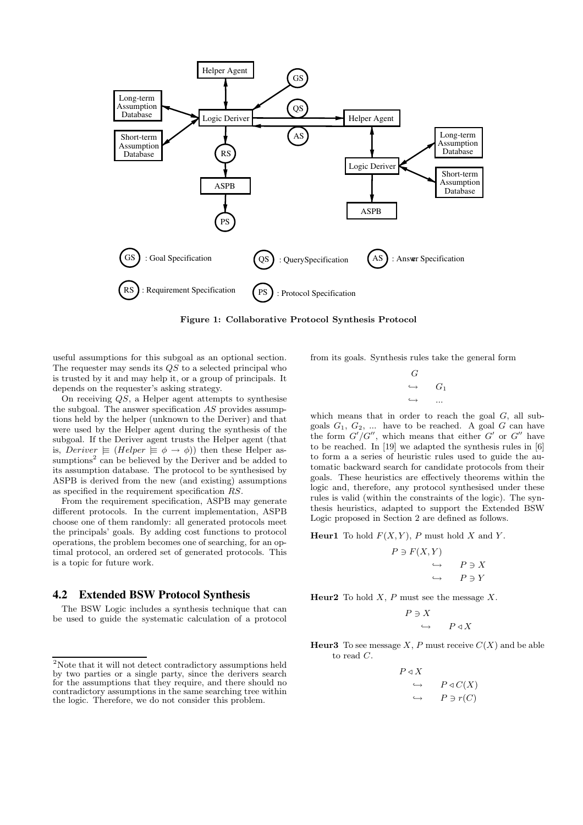

Figure 1: Collaborative Protocol Synthesis Protocol

useful assumptions for this subgoal as an optional section. The requester may sends its QS to a selected principal who is trusted by it and may help it, or a group of principals. It depends on the requester's asking strategy.

On receiving QS, a Helper agent attempts to synthesise the subgoal. The answer specification  $AS$  provides assumptions held by the helper (unknown to the Deriver) and that were used by the Helper agent during the synthesis of the subgoal. If the Deriver agent trusts the Helper agent (that is, Deriver  $\equiv$  (Helper  $\equiv \phi \rightarrow \phi$ )) then these Helper assumptions<sup>2</sup> can be believed by the Deriver and be added to its assumption database. The protocol to be synthesised by ASPB is derived from the new (and existing) assumptions as specified in the requirement specification RS.

From the requirement specification, ASPB may generate different protocols. In the current implementation, ASPB choose one of them randomly: all generated protocols meet the principals' goals. By adding cost functions to protocol operations, the problem becomes one of searching, for an optimal protocol, an ordered set of generated protocols. This is a topic for future work.

# **4.2 Extended BSW Protocol Synthesis**

The BSW Logic includes a synthesis technique that can be used to guide the systematic calculation of a protocol from its goals. Synthesis rules take the general form

| G                 |       |
|-------------------|-------|
| $\hookrightarrow$ | $G_1$ |
| $\hookrightarrow$ |       |

which means that in order to reach the goal  $G$ , all subgoals  $G_1, G_2, \ldots$  have to be reached. A goal G can have the form  $G'/G''$ , which means that either G' or G'' have to be reached. In [19] we adapted the synthesis rules in [6] to form a a series of heuristic rules used to guide the automatic backward search for candidate protocols from their goals. These heuristics are effectively theorems within the logic and, therefore, any protocol synthesised under these rules is valid (within the constraints of the logic). The synthesis heuristics, adapted to support the Extended BSW Logic proposed in Section 2 are defined as follows.

**Heur1** To hold  $F(X, Y)$ , P must hold X and Y.

$$
\begin{array}{ccc}\nP \ni F(X,Y) & & \\
\hookrightarrow & P \ni X \\
\hookrightarrow & P \ni Y\n\end{array}
$$

**Heur2** To hold  $X$ ,  $P$  must see the message  $X$ .

$$
\begin{array}{ccc}\nP \ni X \\
\hookrightarrow & P \triangleleft X\n\end{array}
$$

**Heur3** To see message X, P must receive  $C(X)$  and be able to read C.

$$
\begin{array}{ccc}\nP \triangleleft X & & \\
\hookrightarrow & P \triangleleft C(X) \\
\hookrightarrow & P \ni r(C)\n\end{array}
$$

 $^2\rm{Note}$  that it will not detect contradictory assumptions held by two parties or a single party, since the derivers search for the assumptions that they require, and there should no contradictory assumptions in the same searching tree within the logic. Therefore, we do not consider this problem.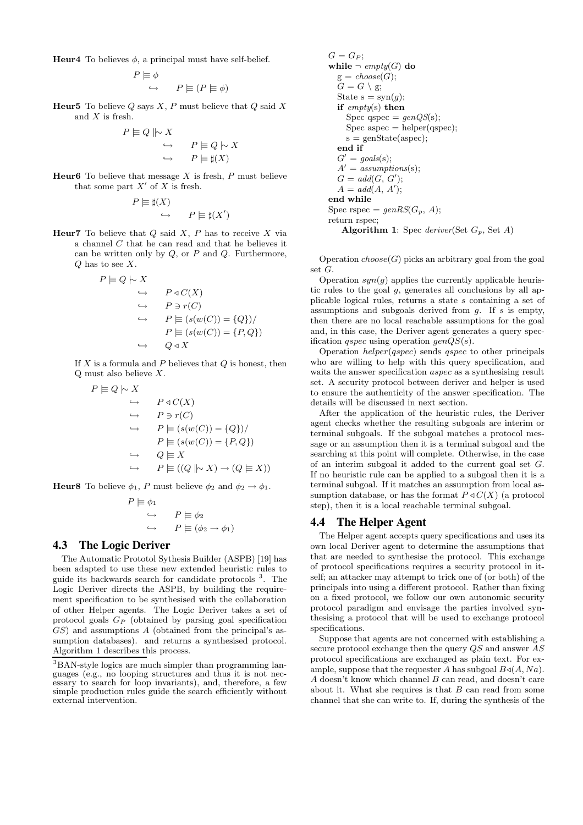**Heur4** To believes  $\phi$ , a principal must have self-belief.

$$
P \models \phi
$$
  

$$
\hookrightarrow \qquad P \models (P \models \phi)
$$

**Heur5** To believe  $Q$  says  $X$ ,  $P$  must believe that  $Q$  said  $X$ and X is fresh.

$$
P \models Q \parallel \sim X
$$
  
\n
$$
\hookrightarrow \qquad P \models Q \mid \sim X
$$
  
\n
$$
\hookrightarrow \qquad P \models \sharp(X)
$$

**Heur6** To believe that message  $X$  is fresh,  $P$  must believe that some part  $X'$  of X is fresh.

$$
P \models \sharp(X)
$$
  

$$
\hookrightarrow \qquad P \models \sharp(X)
$$

 $^{\prime})$ 

**Heur7** To believe that  $Q$  said  $X$ ,  $P$  has to receive  $X$  via a channel C that he can read and that he believes it can be written only by  $Q$ , or  $P$  and  $Q$ . Furthermore, Q has to see X.

$$
P \models Q \mid \sim X
$$
  
\n
$$
\rightarrow P \triangleleft C(X)
$$
  
\n
$$
\rightarrow P \ni r(C)
$$
  
\n
$$
\rightarrow P \models (s(w(C)) = \{Q\})/
$$
  
\n
$$
P \models (s(w(C)) = \{P, Q\})
$$
  
\n
$$
\rightarrow Q \triangleleft X
$$

If  $X$  is a formula and  $P$  believes that  $Q$  is honest, then Q must also believe X.

$$
P \models Q \models X
$$
  
\n
$$
\rightarrow P \triangleleft C(X)
$$
  
\n
$$
\rightarrow P \ni r(C)
$$
  
\n
$$
\rightarrow P \models (s(w(C)) = \{Q\})/
$$
  
\n
$$
P \models (s(w(C)) = \{P, Q\})
$$
  
\n
$$
\rightarrow Q \models X
$$
  
\n
$$
\rightarrow P \models ((Q \parallel \sim X) \rightarrow (Q \models X))
$$

**Heur8** To believe  $\phi_1$ , P must believe  $\phi_2$  and  $\phi_2 \rightarrow \phi_1$ .

$$
P \models \phi_1
$$
  
\n
$$
\hookrightarrow \qquad P \models \phi_2
$$
  
\n
$$
\hookrightarrow \qquad P \models (\phi_2 \rightarrow \phi_1)
$$

#### **4.3 The Logic Deriver**

The Automatic Prototol Sythesis Builder (ASPB) [19] has been adapted to use these new extended heuristic rules to guide its backwards search for candidate protocols <sup>3</sup>. The Logic Deriver directs the ASPB, by building the requirement specification to be synthesised with the collaboration of other Helper agents. The Logic Deriver takes a set of protocol goals G<sup>P</sup> (obtained by parsing goal specification  $GS$ ) and assumptions A (obtained from the principal's assumption databases). and returns a synthesised protocol. Algorithm 1 describes this process.

$$
G = G_P;
$$
\nwhile  $\neg empty(G)$  do  
\n $g = choose(G);$   
\n $G = G \setminus g;$   
\nState  $s = syn(g);$   
\nif  $empty(s)$  then  
\nSpec  $spec = genQS(s);$   
\nSpec  $spec = helper(qspec);$   
\n $s = genState(aspect);$   
\nend if  
\n $G' = goals(s);$   
\n $A' = assumptions(s);$   
\n $G = add(G, G');$   
\n $A = add(A, A');$   
\nend while  
\nSpec  $spec = genRS(G_P, A);$   
\nreturn  $spec;$   
\nAlgorithm 1:  $Spec \, deriver(Set \, G_P, Set A)$ 

Operation  $choose(G)$  picks an arbitrary goal from the goal set G.

Operation  $syn(q)$  applies the currently applicable heuristic rules to the goal g, generates all conclusions by all applicable logical rules, returns a state s containing a set of assumptions and subgoals derived from  $q$ . If s is empty, then there are no local reachable assumptions for the goal and, in this case, the Deriver agent generates a query specification *qspec* using operation  $genQS(s)$ .

Operation  $helper(qspec)$  sends qspec to other principals who are willing to help with this query specification, and waits the answer specification *aspec* as a synthesising result set. A security protocol between deriver and helper is used to ensure the authenticity of the answer specification. The details will be discussed in next section.

After the application of the heuristic rules, the Deriver agent checks whether the resulting subgoals are interim or terminal subgoals. If the subgoal matches a protocol message or an assumption then it is a terminal subgoal and the searching at this point will complete. Otherwise, in the case of an interim subgoal it added to the current goal set G. If no heuristic rule can be applied to a subgoal then it is a terminal subgoal. If it matches an assumption from local assumption database, or has the format  $P \triangleleft C(X)$  (a protocol step), then it is a local reachable terminal subgoal.

### **4.4 The Helper Agent**

The Helper agent accepts query specifications and uses its own local Deriver agent to determine the assumptions that that are needed to synthesise the protocol. This exchange of protocol specifications requires a security protocol in itself; an attacker may attempt to trick one of (or both) of the principals into using a different protocol. Rather than fixing on a fixed protocol, we follow our own autonomic security protocol paradigm and envisage the parties involved synthesising a protocol that will be used to exchange protocol specifications.

Suppose that agents are not concerned with establishing a secure protocol exchange then the query  $QS$  and answer  $AS$ protocol specifications are exchanged as plain text. For example, suppose that the requester A has subgoal  $B\sphericalangle(A, Na)$ .  $A$  doesn't know which channel  $B$  can read, and doesn't care about it. What she requires is that  $B$  can read from some channel that she can write to. If, during the synthesis of the

 ${}^{3}\mathrm{BAN}\!$  style logics are much simpler than programming languages (e.g., no looping structures and thus it is not necessary to search for loop invariants), and, therefore, a few simple production rules guide the search efficiently without external intervention.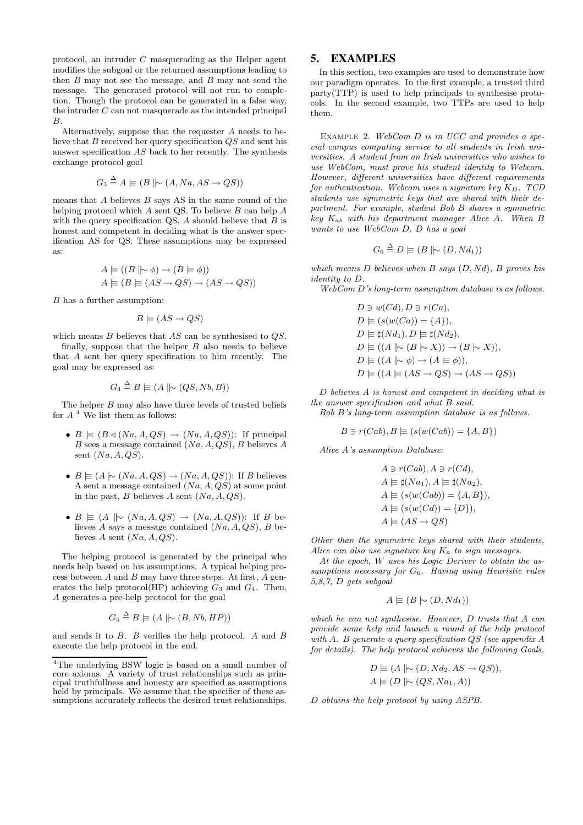protocol, an intruder C masquerading as the Helper agent modifies the subgoal or the returned assumptions leading to then  $B$  may not see the message, and  $B$  may not send the message. The generated protocol will not run to completion. Though the protocol can be generated in a false way, the intruder  $C$  can not masquerade as the intended principal B.

Alternatively, suppose that the requester A needs to believe that  $B$  received her query specification  $QS$  and sent his answer specification AS back to her recently. The synthesis exchange protocol goal

$$
G_3 \stackrel{\Delta}{=} A \models (B \not\mid \sim (A, Na, AS \rightarrow QS))
$$

means that  $A$  believes  $B$  says  $AS$  in the same round of the helping protocol which  $A$  sent QS. To believe  $B$  can help  $A$ with the query specification QS,  $A$  should believe that  $B$  is honest and competent in deciding what is the answer specification AS for QS. These assumptions may be expressed as:

$$
A \equiv ((B \mid \sim \phi) \rightarrow (B \equiv \phi))
$$
  

$$
A \equiv (B \equiv (AS \rightarrow QS) \rightarrow (AS \rightarrow QS))
$$

B has a further assumption:

$$
B \models (AS \rightarrow QS)
$$

which means B believes that AS can be synthesised to QS.

finally, suppose that the helper  $B$  also needs to believe that A sent her query specification to him recently. The goal may be expressed as:

$$
G_4 \stackrel{\Delta}{=} B \models (A \parallel \sim (QS, Nb, B))
$$

The helper B may also have three levels of trusted beliefs for  $A$ <sup>4</sup> We list them as follows:

- $B \equiv (B \triangleleft (Na, A, QS) \rightarrow (Na, A, QS))$ : If principal B sees a message contained  $(Na, A, QS)$ , B believes A sent  $(Na, A, QS)$ .
- $B \equiv (A \sim (Na, A, QS) \rightarrow (Na, A, QS))$ : If B believes A sent a message contained  $(Na, A, QS)$  at some point in the past, B believes A sent  $(Na, A, QS)$ .
- $B \equiv (A \not\mid \sim (Na, A, QS) \rightarrow (Na, A, QS))$ : If B believes A says a message contained  $(Na, A, QS), B$  believes A sent  $(Na, A, QS)$ .

The helping protocol is generated by the principal who needs help based on his assumptions. A typical helping process between  $A$  and  $B$  may have three steps. At first,  $A$  generates the help protocol(HP) achieving  $G_3$  and  $G_4$ . Then, A generates a pre-help protocol for the goal

$$
G_5 \stackrel{\Delta}{=} B \models (A \parallel \sim (B, Nb, HP))
$$

and sends it to B. B verifies the help protocol. A and B execute the help protocol in the end.

## **5. EXAMPLES**

In this section, two examples are used to demonstrate how our paradigm operates. In the first example, a trusted third party(TTP) is used to help principals to synthesise protocols. In the second example, two TTPs are used to help them.

EXAMPLE 2. WebCom  $D$  is in UCC and provides a special campus computing service to all students in Irish universities. A student from an Irish universities who wishes to use WebCom, must prove his student identity to Webcom. However, different universities have different requirements for authentication. Webcom uses a signature key  $K_D$ . TCD students use symmetric keys that are shared with their department. For example, student Bob B shares a symmetric key  $K_{ab}$  with his department manager Alice A. When B wants to use WebCom D, D has a goal

$$
G_6 \stackrel{\Delta}{=} D \models (B \parallel \sim (D, Nd_1))
$$

which means  $D$  believes when  $B$  says  $(D, Nd)$ ,  $B$  proves his identity to D.

WebCom D's long-term assumption database is as follows.

$$
D \ni w(Cd), D \ni r(Ca),
$$
  
\n
$$
D \models (s(w(Ca)) = \{A\}),
$$
  
\n
$$
D \models \sharp(Nd_1), D \models \sharp(Nd_2),
$$
  
\n
$$
D \models ((A \mid \sim (B \mid \sim X)) \rightarrow (B \mid \sim X)),
$$
  
\n
$$
D \models ((A \mid \sim \phi) \rightarrow (A \equiv \phi)),
$$
  
\n
$$
D \models ((A \models (AS \rightarrow QS) \rightarrow (AS \rightarrow QS))
$$

D believes A is honest and competent in deciding what is the answer specification and what B said.

Bob B's long-term assumption database is as follows.

$$
B \ni r(Cab), B \models (s(w(Cab)) = \{A, B\})
$$

Alice A's assumption Database:

$$
A \ni r(Cab), A \ni r(Cd),
$$
  
\n
$$
A \models \sharp(Na_1), A \models \sharp(Na_2),
$$
  
\n
$$
A \models (s(w(Cab)) = \{A, B\}),
$$
  
\n
$$
A \models (s(w(Cd)) = \{D\}),
$$
  
\n
$$
A \models (AS \rightarrow QS)
$$

Other than the symmetric keys shared with their students, Alice can also use signature key  $K_a$  to sign messages.

At the epoch, W uses his Logic Deriver to obtain the assumptions necessary for G6. Having using Heuristic rules 5,8,7, D gets subgoal

$$
A \models (B \mid \sim (D, Nd_1))
$$

which he can not synthesise. However, D trusts that A can provide some help and launch a round of the help protocol with A. B generate a query specification QS (see appendix A for details). The help protocol achieves the following Goals,

$$
D \equiv (A \mid \sim (D, Nd_2, AS \rightarrow QS)),
$$
  

$$
A \equiv (D \mid \sim (QS, Na_1, A))
$$

D obtains the help protocol by using ASPB.

<sup>4</sup>The underlying BSW logic is based on a small number of core axioms. A variety of trust relationships such as principal truthfullness and honesty are specified as assumptions held by principals. We assume that the specifier of these assumptions accurately reflects the desired trust relationships.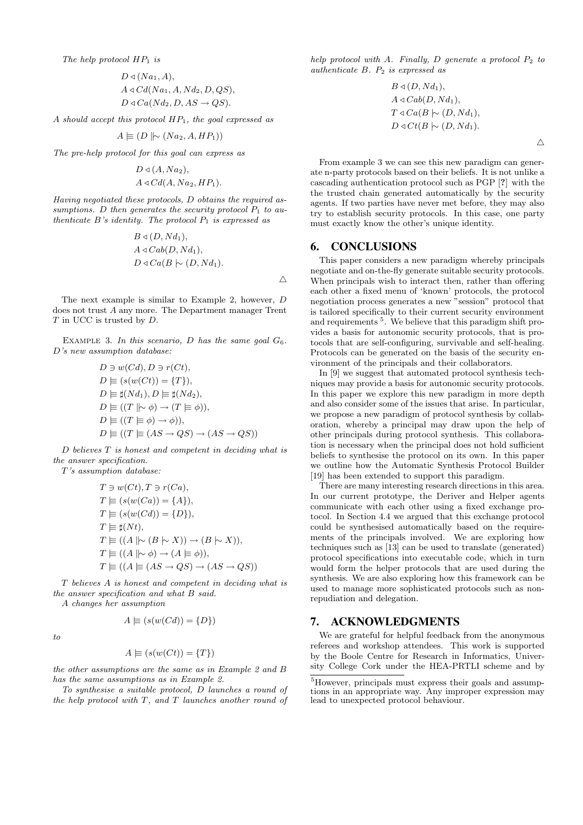$$
D \triangleleft (Na_1, A),
$$
  

$$
A \triangleleft Cd(Na_1, A, Nd_2, D, QS),
$$
  

$$
D \triangleleft Ca(Nd_2, D, AS \rightarrow QS).
$$

A should accept this protocol  $HP_1$ , the goal expressed as

$$
A \models (D \not\mid \sim (Na_2, A, HP_1))
$$

The pre-help protocol for this goal can express as

$$
D \triangleleft (A, Na2),
$$
  

$$
A \triangleleft Cd(A, Na2, HP1).
$$

Having negotiated these protocols, D obtains the required assumptions. D then generates the security protocol  $P_1$  to authenticate  $B$ 's identity. The protocol  $P_1$  is expressed as

$$
B \triangleleft (D, Nd_1),
$$
  
\n
$$
A \triangleleft Cab(D, Nd_1),
$$
  
\n
$$
D \triangleleft Ca(B \succ (D, Nd_1).
$$

The next example is similar to Example 2, however, D does not trust A any more. The Department manager Trent T in UCC is trusted by D.

EXAMPLE 3. In this scenario, D has the same goal  $G_6$ . D's new assumption database:

$$
D \ni w(Cd), D \ni r(Ct),
$$
  
\n
$$
D \models (s(w(Ct)) = \{T\}),
$$
  
\n
$$
D \models \sharp(Nd_1), D \models \sharp(Nd_2),
$$
  
\n
$$
D \models ((T \models \phi) \rightarrow (T \models \phi)),
$$
  
\n
$$
D \models ((T \models \phi) \rightarrow \phi)),
$$
  
\n
$$
D \models ((T \models (AS \rightarrow QS) \rightarrow (AS \rightarrow QS))
$$

D believes T is honest and competent in deciding what is the answer specification.

T's assumption database:

$$
T \ni w(Ct), T \ni r(Ca),
$$
  
\n
$$
T \models (s(w(Ca)) = \{A\}),
$$
  
\n
$$
T \models (s(w(Cd)) = \{D\}),
$$
  
\n
$$
T \models \sharp(Nt),
$$
  
\n
$$
T \models ((A \mid \sim (B \mid \sim X)) \rightarrow (B \mid \sim X)),
$$
  
\n
$$
T \models ((A \mid \sim \phi) \rightarrow (A \equiv \phi)),
$$
  
\n
$$
T \models ((A \not\models (AS \rightarrow QS) \rightarrow (AS \rightarrow QS))
$$

T believes A is honest and competent in deciding what is the answer specification and what B said.

A changes her assumption

$$
A \models (s(w(Cd)) = \{D\})
$$

to

$$
A \equiv (s(w(Ct)) = \{T\})
$$

the other assumptions are the same as in Example 2 and B has the same assumptions as in Example 2.

To synthesise a suitable protocol, D launches a round of the help protocol with  $T$ , and  $T$  launches another round of

help protocol with A. Finally, D generate a protocol  $P_2$  to authenticate  $B.$   $P_2$  is expressed as

$$
B \triangleleft (D, Nd_1),
$$
  
\n
$$
A \triangleleft Cab(D, Nd_1),
$$
  
\n
$$
T \triangleleft Ca(B \sim (D, Nd_1),
$$
  
\n
$$
D \triangleleft Ct(B \sim (D, Nd_1).
$$

 $\triangle$ 

From example 3 we can see this new paradigm can generate n-party protocols based on their beliefs. It is not unlike a cascading authentication protocol such as PGP [?] with the the trusted chain generated automatically by the security agents. If two parties have never met before, they may also try to establish security protocols. In this case, one party must exactly know the other's unique identity.

#### **6. CONCLUSIONS**

 $\triangle$ 

This paper considers a new paradigm whereby principals negotiate and on-the-fly generate suitable security protocols. When principals wish to interact then, rather than offering each other a fixed menu of 'known' protocols, the protocol negotiation process generates a new "session" protocol that is tailored specifically to their current security environment and requirements<sup>5</sup>. We believe that this paradigm shift provides a basis for autonomic security protocols, that is protocols that are self-configuring, survivable and self-healing. Protocols can be generated on the basis of the security environment of the principals and their collaborators.

In [9] we suggest that automated protocol synthesis techniques may provide a basis for autonomic security protocols. In this paper we explore this new paradigm in more depth and also consider some of the issues that arise. In particular, we propose a new paradigm of protocol synthesis by collaboration, whereby a principal may draw upon the help of other principals during protocol synthesis. This collaboration is necessary when the principal does not hold sufficient beliefs to synthesise the protocol on its own. In this paper we outline how the Automatic Synthesis Protocol Builder [19] has been extended to support this paradigm.

There are many interesting research directions in this area. In our current prototype, the Deriver and Helper agents communicate with each other using a fixed exchange protocol. In Section 4.4 we argued that this exchange protocol could be synthesised automatically based on the requirements of the principals involved. We are exploring how techniques such as [13] can be used to translate (generated) protocol specifications into executable code, which in turn would form the helper protocols that are used during the synthesis. We are also exploring how this framework can be used to manage more sophisticated protocols such as nonrepudiation and delegation.

#### **7. ACKNOWLEDGMENTS**

We are grateful for helpful feedback from the anonymous referees and workshop attendees. This work is supported by the Boole Centre for Research in Informatics, University College Cork under the HEA-PRTLI scheme and by

<sup>5</sup>However, principals must express their goals and assumptions in an appropriate way. Any improper expression may lead to unexpected protocol behaviour.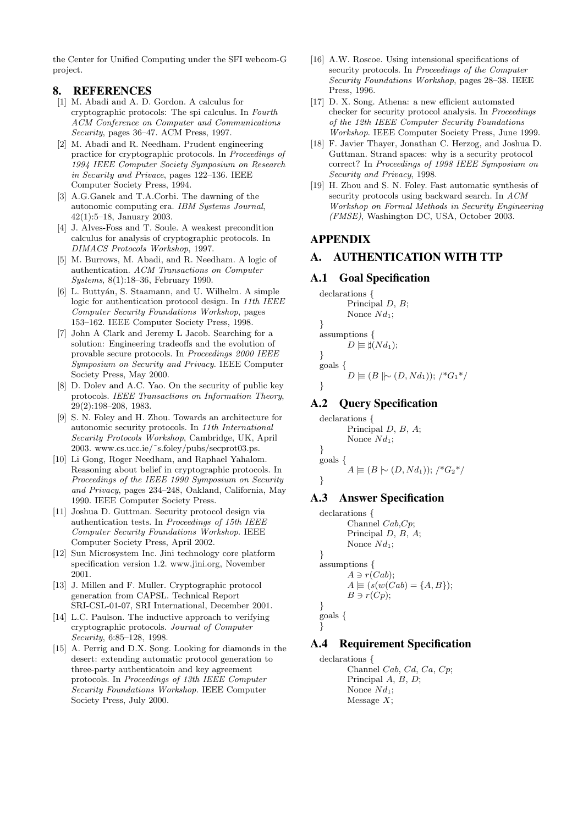the Center for Unified Computing under the SFI webcom-G project.

## **8. REFERENCES**

- [1] M. Abadi and A. D. Gordon. A calculus for cryptographic protocols: The spi calculus. In Fourth ACM Conference on Computer and Communications Security, pages 36–47. ACM Press, 1997.
- [2] M. Abadi and R. Needham. Prudent engineering practice for cryptographic protocols. In Proceedings of 1994 IEEE Computer Society Symposium on Research in Security and Privace, pages 122–136. IEEE Computer Society Press, 1994.
- [3] A.G.Ganek and T.A.Corbi. The dawning of the autonomic computing era. IBM Systems Journal, 42(1):5–18, January 2003.
- [4] J. Alves-Foss and T. Soule. A weakest precondition calculus for analysis of cryptographic protocols. In DIMACS Protocols Workshop, 1997.
- [5] M. Burrows, M. Abadi, and R. Needham. A logic of authentication. ACM Transactions on Computer Systems, 8(1):18–36, February 1990.
- [6] L. Buttyán, S. Staamann, and U. Wilhelm. A simple logic for authentication protocol design. In 11th IEEE Computer Security Foundations Workshop, pages 153–162. IEEE Computer Society Press, 1998.
- [7] John A Clark and Jeremy L Jacob. Searching for a solution: Engineering tradeoffs and the evolution of provable secure protocols. In Proceedings 2000 IEEE Symposium on Security and Privacy. IEEE Computer Society Press, May 2000.
- [8] D. Dolev and A.C. Yao. On the security of public key protocols. IEEE Transactions on Information Theory, 29(2):198–208, 1983.
- [9] S. N. Foley and H. Zhou. Towards an architecture for autonomic security protocols. In 11th International Security Protocols Workshop, Cambridge, UK, April 2003. www.cs.ucc.ie/˜s.foley/pubs/secprot03.ps.
- [10] Li Gong, Roger Needham, and Raphael Yahalom. Reasoning about belief in cryptographic protocols. In Proceedings of the IEEE 1990 Symposium on Security and Privacy, pages 234–248, Oakland, California, May 1990. IEEE Computer Society Press.
- [11] Joshua D. Guttman. Security protocol design via authentication tests. In Proceedings of 15th IEEE Computer Security Foundations Workshop. IEEE Computer Society Press, April 2002.
- [12] Sun Microsystem Inc. Jini technology core platform specification version 1.2. www.jini.org, November 2001.
- [13] J. Millen and F. Muller. Cryptographic protocol generation from CAPSL. Technical Report SRI-CSL-01-07, SRI International, December 2001.
- [14] L.C. Paulson. The inductive approach to verifying cryptographic protocols. Journal of Computer Security, 6:85–128, 1998.
- [15] A. Perrig and D.X. Song. Looking for diamonds in the desert: extending automatic protocol generation to three-party authenticatoin and key agreement protocols. In Proceedings of 13th IEEE Computer Security Foundations Workshop. IEEE Computer Society Press, July 2000.
- [16] A.W. Roscoe. Using intensional specifications of security protocols. In Proceedings of the Computer Security Foundations Workshop, pages 28–38. IEEE Press, 1996.
- [17] D. X. Song. Athena: a new efficient automated checker for security protocol analysis. In Proceedings of the 12th IEEE Computer Security Foundations Workshop. IEEE Computer Society Press, June 1999.
- [18] F. Javier Thayer, Jonathan C. Herzog, and Joshua D. Guttman. Strand spaces: why is a security protocol correct? In Proceedings of 1998 IEEE Symposium on Security and Privacy, 1998.
- [19] H. Zhou and S. N. Foley. Fast automatic synthesis of security protocols using backward search. In ACM Workshop on Formal Methods in Security Engineering (FMSE), Washington DC, USA, October 2003.

## **APPENDIX**

# **A. AUTHENTICATION WITH TTP**

## **A.1 Goal Specification**

```
declarations {
        Principal D, B;
        Nonce Nd_1;
}
assumptions {
        D \models \sharp(Nd_1);}
goals {
        D \equiv (B \mid \sim (D, Nd_1)); /*G_1*/
}
```
# **A.2 Query Specification**

```
declarations {
       Principal D, B, A;
       Nonce Nd_1;
}
goals {
        A \equiv (B \cup (D, Nd_1)); /*G_2*/
}
```
## **A.3 Answer Specification**

```
declarations {
       Channel Cab,Cp;
       Principal D, B, A;
       Nonce Nd_1;
}
assumptions {
       A \ni r(Cab):
       A \equiv (s(w(Cab) = \{A, B\});B \ni r(Cp);}
goals {
}
```
# **A.4 Requirement Specification**

```
declarations {
      Channel Cab, Cd, Ca, Cp;
      Principal A, B, D;Nonce Nd_1;
      Message X;
```